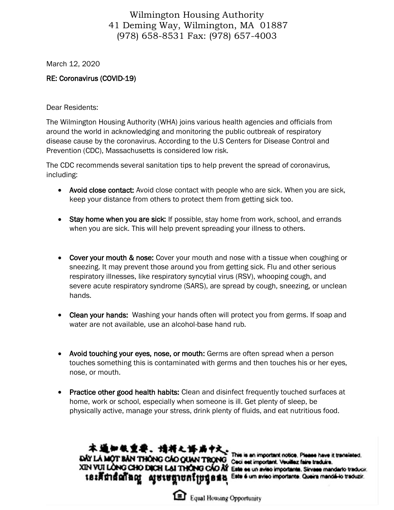## Wilmington Housing Authority 41 Deming Way, Wilmington, MA 01887 (978) 658-8531 Fax: (978) 657-4003

March 12, 2020

## RE: Coronavirus (COVID-19)

Dear Residents:

The Wilmington Housing Authority (WHA) joins various health agencies and officials from around the world in acknowledging and monitoring the public outbreak of respiratory disease cause by the coronavirus. According to the U.S Centers for Disease Control and Prevention (CDC), Massachusetts is considered low risk.

The CDC recommends several sanitation tips to help prevent the spread of coronavirus, including:

- Avoid close contact: Avoid close contact with people who are sick. When you are sick, keep your distance from others to protect them from getting sick too.
- Stay home when you are sick: If possible, stay home from work, school, and errands when you are sick. This will help prevent spreading your illness to others.
- Cover your mouth & nose: Cover your mouth and nose with a tissue when coughing or sneezing. It may prevent those around you from getting sick. Flu and other serious respiratory illnesses, like respiratory syncytial virus (RSV), whooping cough, and severe acute respiratory syndrome (SARS), are spread by cough, sneezing, or unclean hands.
- Clean your hands: Washing your hands often will protect you from germs. If soap and water are not available, use an alcohol-base hand rub.
- Avoid touching your eyes, nose, or mouth: Germs are often spread when a person touches something this is contaminated with germs and then touches his or her eyes, nose, or mouth.
- Practice other good health habits: Clean and disinfect frequently touched surfaces at home, work or school, especially when someone is ill. Get plenty of sleep, be physically active, manage your stress, drink plenty of fluids, and eat nutritious food.

本通知银重要。请将之诉尚中文。<br>YLAMOTRAN THONG CAO GIUN TRONG This is an important notice. Play DAY LA MOT BAN THONG CAO QUAN TRONG Coci est important notice. Please have

នេះគឺជាតំណឹងល្អ សូមមេគ្នាបកប្រែផ្គុនគង

XIN VUI LONG CHO DICH LAI THONG CAO AY Este es un aviso importante. Sirvese mandario traducir. Este é um aviso importante. Queira mandá-lo traduzir.



**Equal Housing Opportunity**